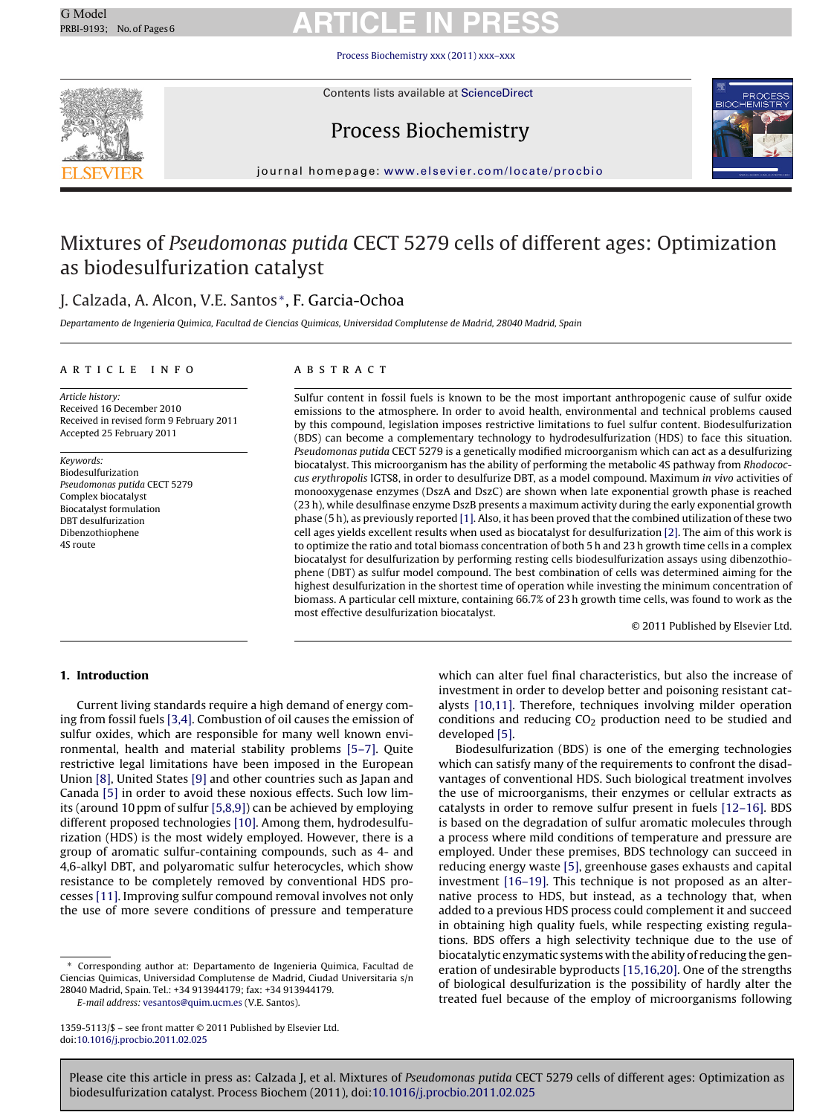[Process Biochemistry xxx \(2011\) xxx–xxx](dx.doi.org/10.1016/j.procbio.2011.02.025)



Contents lists available at [ScienceDirect](http://www.sciencedirect.com/science/journal/13595113)

# Process Biochemistry



journal homepage: [www.elsevier.com/locate/procbio](http://www.elsevier.com/locate/procbio)

# Mixtures of Pseudomonas putida CECT 5279 cells of different ages: Optimization as biodesulfurization catalyst

# J. Calzada, A. Alcon, V.E. Santos <sup>∗</sup>, F. Garcia-Ochoa

Departamento de Ingenieria Quimica, Facultad de Ciencias Quimicas, Universidad Complutense de Madrid, 28040 Madrid, Spain

### article info

Article history: Received 16 December 2010 Received in revised form 9 February 2011 Accepted 25 February 2011

Keywords: Biodesulfurization Pseudomonas putida CECT 5279 Complex biocatalyst Biocatalyst formulation DBT desulfurization Dibenzothiophene 4S route

# **ABSTRACT**

Sulfur content in fossil fuels is known to be the most important anthropogenic cause of sulfur oxide emissions to the atmosphere. In order to avoid health, environmental and technical problems caused by this compound, legislation imposes restrictive limitations to fuel sulfur content. Biodesulfurization (BDS) can become a complementary technology to hydrodesulfurization (HDS) to face this situation. Pseudomonas putida CECT 5279 is a genetically modified microorganism which can act as a desulfurizing biocatalyst. This microorganism has the ability of performing the metabolic 4S pathway from Rhodococcus erythropolis IGTS8, in order to desulfurize DBT, as a model compound. Maximum in vivo activities of monooxygenase enzymes (DszA and DszC) are shown when late exponential growth phase is reached (23 h), while desulfinase enzyme DszB presents a maximum activity during the early exponential growth phase (5 h), as previously reported [\[1\]. A](#page-4-0)lso, it has been proved that the combined utilization of these two cell ages yields excellent results when used as biocatalyst for desulfurization [\[2\]. T](#page-4-0)he aim of this work is to optimize the ratio and total biomass concentration of both 5 h and 23 h growth time cells in a complex biocatalyst for desulfurization by performing resting cells biodesulfurization assays using dibenzothiophene (DBT) as sulfur model compound. The best combination of cells was determined aiming for the highest desulfurization in the shortest time of operation while investing the minimum concentration of biomass. A particular cell mixture, containing 66.7% of 23 h growth time cells, was found to work as the most effective desulfurization biocatalyst.

© 2011 Published by Elsevier Ltd.

## **1. Introduction**

Current living standards require a high demand of energy coming from fossil fuels [\[3,4\]. C](#page-4-0)ombustion of oil causes the emission of sulfur oxides, which are responsible for many well known environmental, health and material stability problems [\[5–7\].](#page-4-0) Quite restrictive legal limitations have been imposed in the European Union [\[8\], U](#page-4-0)nited States [\[9\]](#page-4-0) and other countries such as Japan and Canada [\[5\]](#page-4-0) in order to avoid these noxious effects. Such low limits (around 10 ppm of sulfur [\[5,8,9\]\) c](#page-4-0)an be achieved by employing different proposed technologies [\[10\]. A](#page-4-0)mong them, hydrodesulfurization (HDS) is the most widely employed. However, there is a group of aromatic sulfur-containing compounds, such as 4- and 4,6-alkyl DBT, and polyaromatic sulfur heterocycles, which show resistance to be completely removed by conventional HDS processes [\[11\]. I](#page-4-0)mproving sulfur compound removal involves not only the use of more severe conditions of pressure and temperature

∗ Corresponding author at: Departamento de Ingenieria Quimica, Facultad de Ciencias Quimicas, Universidad Complutense de Madrid, Ciudad Universitaria s/n 28040 Madrid, Spain. Tel.: +34 913944179; fax: +34 913944179.

E-mail address: [vesantos@quim.ucm.es](mailto:vesantos@quim.ucm.es) (V.E. Santos).

which can alter fuel final characteristics, but also the increase of investment in order to develop better and poisoning resistant catalysts [\[10,11\].](#page-4-0) Therefore, techniques involving milder operation conditions and reducing  $CO<sub>2</sub>$  production need to be studied and developed [\[5\].](#page-4-0)

Biodesulfurization (BDS) is one of the emerging technologies which can satisfy many of the requirements to confront the disadvantages of conventional HDS. Such biological treatment involves the use of microorganisms, their enzymes or cellular extracts as catalysts in order to remove sulfur present in fuels [\[12–16\]. B](#page-4-0)DS is based on the degradation of sulfur aromatic molecules through a process where mild conditions of temperature and pressure are employed. Under these premises, BDS technology can succeed in reducing energy waste [\[5\], g](#page-4-0)reenhouse gases exhausts and capital investment [\[16–19\]. T](#page-4-0)his technique is not proposed as an alternative process to HDS, but instead, as a technology that, when added to a previous HDS process could complement it and succeed in obtaining high quality fuels, while respecting existing regulations. BDS offers a high selectivity technique due to the use of biocatalytic enzymatic systems with the ability of reducing the generation of undesirable byproducts [\[15,16,20\]. O](#page-4-0)ne of the strengths of biological desulfurization is the possibility of hardly alter the treated fuel because of the employ of microorganisms following

<sup>1359-5113/\$ –</sup> see front matter © 2011 Published by Elsevier Ltd. doi:[10.1016/j.procbio.2011.02.025](dx.doi.org/10.1016/j.procbio.2011.02.025)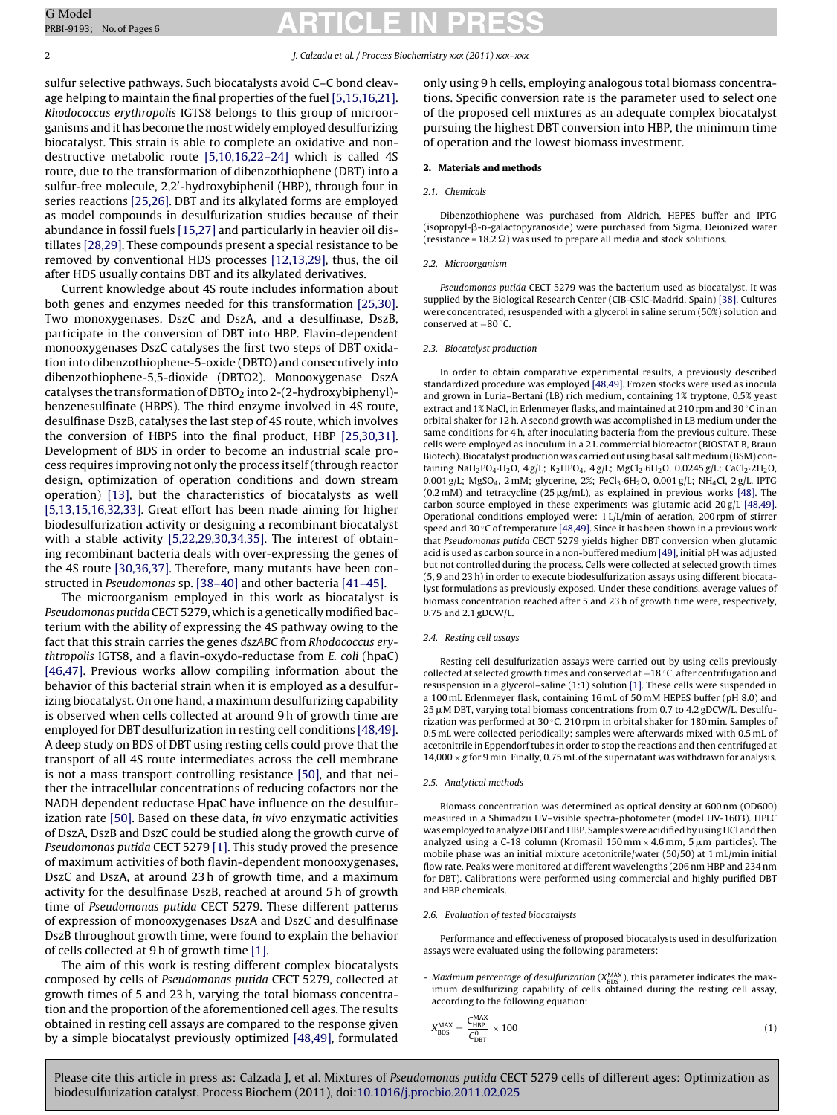#### 2 J. Calzada et al. / Process Biochemistry xxx (2011) xxx–xxx

sulfur selective pathways. Such biocatalysts avoid C–C bond cleavage helping to maintain the final properties of the fuel [\[5,15,16,21\].](#page-4-0) Rhodococcus erythropolis IGTS8 belongs to this group of microorganisms and it has become the most widely employed desulfurizing biocatalyst. This strain is able to complete an oxidative and nondestructive metabolic route [\[5,10,16,22–24\]](#page-4-0) which is called 4S route, due to the transformation of dibenzothiophene (DBT) into a sulfur-free molecule, 2,2 -hydroxybiphenil (HBP), through four in series reactions [\[25,26\]. D](#page-5-0)BT and its alkylated forms are employed as model compounds in desulfurization studies because of their abundance in fossil fuels [\[15,27\]](#page-4-0) and particularly in heavier oil distillates [\[28,29\]. T](#page-5-0)hese compounds present a special resistance to be removed by conventional HDS processes [\[12,13,29\], t](#page-4-0)hus, the oil after HDS usually contains DBT and its alkylated derivatives.

Current knowledge about 4S route includes information about both genes and enzymes needed for this transformation [\[25,30\].](#page-5-0) Two monoxygenases, DszC and DszA, and a desulfinase, DszB, participate in the conversion of DBT into HBP. Flavin-dependent monooxygenases DszC catalyses the first two steps of DBT oxidation into dibenzothiophene-5-oxide (DBTO) and consecutively into dibenzothiophene-5,5-dioxide (DBTO2). Monooxygenase DszA catalyses the transformation of DBTO<sub>2</sub> into 2-(2-hydroxybiphenyl)benzenesulfinate (HBPS). The third enzyme involved in 4S route, desulfinase DszB, catalyses the last step of 4S route, which involves the conversion of HBPS into the final product, HBP [\[25,30,31\].](#page-5-0) Development of BDS in order to become an industrial scale process requires improving not only the process itself (through reactor design, optimization of operation conditions and down stream operation) [\[13\],](#page-4-0) but the characteristics of biocatalysts as well [\[5,13,15,16,32,33\].](#page-4-0) Great effort has been made aiming for higher biodesulfurization activity or designing a recombinant biocatalyst with a stable activity [\[5,22,29,30,34,35\].](#page-4-0) The interest of obtaining recombinant bacteria deals with over-expressing the genes of the 4S route [\[30,36,37\]. T](#page-5-0)herefore, many mutants have been constructed in Pseudomonas sp. [\[38–40\]](#page-5-0) and other bacteria [\[41–45\].](#page-5-0)

The microorganism employed in this work as biocatalyst is Pseudomonas putida CECT 5279, which is a genetically modified bacterium with the ability of expressing the 4S pathway owing to the fact that this strain carries the genes dszABC from Rhodococcus erythtropolis IGTS8, and a flavin-oxydo-reductase from E. coli (hpaC) [\[46,47\].](#page-5-0) Previous works allow compiling information about the behavior of this bacterial strain when it is employed as a desulfurizing biocatalyst. On one hand, a maximum desulfurizing capability is observed when cells collected at around 9 h of growth time are employed for DBT desulfurization in resting cell conditions [\[48,49\].](#page-5-0) A deep study on BDS of DBT using resting cells could prove that the transport of all 4S route intermediates across the cell membrane is not a mass transport controlling resistance [\[50\],](#page-5-0) and that neither the intracellular concentrations of reducing cofactors nor the NADH dependent reductase HpaC have influence on the desulfurization rate [\[50\]. B](#page-5-0)ased on these data, in vivo enzymatic activities of DszA, DszB and DszC could be studied along the growth curve of Pseudomonas putida CECT 5279 [\[1\]. T](#page-4-0)his study proved the presence of maximum activities of both flavin-dependent monooxygenases, DszC and DszA, at around 23 h of growth time, and a maximum activity for the desulfinase DszB, reached at around 5 h of growth time of Pseudomonas putida CECT 5279. These different patterns of expression of monooxygenases DszA and DszC and desulfinase DszB throughout growth time, were found to explain the behavior of cells collected at 9 h of growth time [\[1\].](#page-4-0)

The aim of this work is testing different complex biocatalysts composed by cells of Pseudomonas putida CECT 5279, collected at growth times of 5 and 23 h, varying the total biomass concentration and the proportion of the aforementioned cell ages. The results obtained in resting cell assays are compared to the response given by a simple biocatalyst previously optimized [\[48,49\], f](#page-5-0)ormulated

only using 9 h cells, employing analogous total biomass concentrations. Specific conversion rate is the parameter used to select one of the proposed cell mixtures as an adequate complex biocatalyst pursuing the highest DBT conversion into HBP, the minimum time of operation and the lowest biomass investment.

#### **2. Materials and methods**

#### 2.1. Chemicals

Dibenzothiophene was purchased from Aldrich, HEPES buffer and IPTG (isopropyl-ß-D-galactopyranoside) were purchased from Sigma. Deionized water (resistance = 18.2  $\Omega$ ) was used to prepare all media and stock solutions.

#### 2.2. Microorganism

Pseudomonas putida CECT 5279 was the bacterium used as biocatalyst. It was supplied by the Biological Research Center (CIB-CSIC-Madrid, Spain) [\[38\]. C](#page-5-0)ultures were concentrated, resuspended with a glycerol in saline serum (50%) solution and conserved at −80 ◦C.

#### 2.3. Biocatalyst production

In order to obtain comparative experimental results, a previously described standardized procedure was employed [\[48,49\]. F](#page-5-0)rozen stocks were used as inocula and grown in Luria–Bertani (LB) rich medium, containing 1% tryptone, 0.5% yeast extract and 1% NaCl, in Erlenmeyer flasks, and maintained at 210 rpm and 30 ◦C in an orbital shaker for 12 h. A second growth was accomplished in LB medium under the same conditions for 4 h, after inoculating bacteria from the previous culture. These cells were employed as inoculum in a 2 L commercial bioreactor (BIOSTAT B, Braun Biotech). Biocatalyst production was carried out using basal salt medium (BSM) containing NaH<sub>2</sub>PO<sub>4</sub>·H<sub>2</sub>O, 4 g/L; K<sub>2</sub>HPO<sub>4</sub>, 4 g/L; MgCl<sub>2</sub>·6H<sub>2</sub>O, 0.0245 g/L; CaCl<sub>2</sub>·2H<sub>2</sub>O, 0.001 g/L; MgSO<sub>4</sub>, 2 mM; glycerine, 2%; FeCl<sub>3</sub>·6H<sub>2</sub>O, 0.001 g/L; NH<sub>4</sub>Cl, 2 g/L. IPTG  $(0.2 \text{ mM})$  and tetracycline  $(25 \mu g/\text{mL})$ , as explained in previous works [\[48\]. T](#page-5-0)he carbon source employed in these experiments was glutamic acid 20 g/L [\[48,49\].](#page-5-0) Operational conditions employed were: 1 L/L/min of aeration, 200 rpm of stirrer speed and 30 $\degree$ C of temperature [\[48,49\]. S](#page-5-0)ince it has been shown in a previous work that Pseudomonas putida CECT 5279 yields higher DBT conversion when glutamic acid is used as carbon source in a non-buffered medium [\[49\], i](#page-5-0)nitial pH was adjusted but not controlled during the process. Cells were collected at selected growth times (5, 9 and 23 h) in order to execute biodesulfurization assays using different biocatalyst formulations as previously exposed. Under these conditions, average values of biomass concentration reached after 5 and 23 h of growth time were, respectively, 0.75 and 2.1 gDCW/L.

#### 2.4. Resting cell assays

Resting cell desulfurization assays were carried out by using cells previously collected at selected growth times and conserved at −18 ◦C, after centrifugation and resuspension in a glycerol–saline (1:1) solution [\[1\]. T](#page-4-0)hese cells were suspended in a 100 mL Erlenmeyer flask, containing 16 mL of 50 mM HEPES buffer (pH 8.0) and 25 µM DBT, varying total biomass concentrations from 0.7 to 4.2 gDCW/L. Desulfurization was performed at 30 $\degree$ C, 210 rpm in orbital shaker for 180 min. Samples of 0.5 mL were collected periodically; samples were afterwards mixed with 0.5 mL of acetonitrile in Eppendorf tubes in order to stop the reactions and then centrifuged at  $14,000 \times g$  for 9 min. Finally, 0.75 mL of the supernatant was withdrawn for analysis.

#### 2.5. Analytical methods

Biomass concentration was determined as optical density at 600 nm (OD600) measured in a Shimadzu UV–visible spectra-photometer (model UV-1603). HPLC was employed to analyze DBT and HBP. Samples were acidified by using HCl and then analyzed using a C-18 column (Kromasil 150 mm  $\times$  4.6 mm, 5  $\mu$ m particles). The mobile phase was an initial mixture acetonitrile/water (50/50) at 1 mL/min initial flow rate. Peaks were monitored at different wavelengths (206 nm HBP and 234 nm for DBT). Calibrations were performed using commercial and highly purified DBT and HBP chemicals.

#### 2.6. Evaluation of tested biocatalysts

Performance and effectiveness of proposed biocatalysts used in desulfurization assays were evaluated using the following parameters:

- Maximum percentage of desulfurization (X<sub>BDS</sub>), this parameter indicates the maximum desulfurizing capability of cells obtained during the resting cell assay, according to the following equation:

$$
X_{\rm BDS}^{\rm MAX} = \frac{C_{\rm HBP}^{\rm MAX}}{C_{\rm DBT}^0} \times 100\tag{1}
$$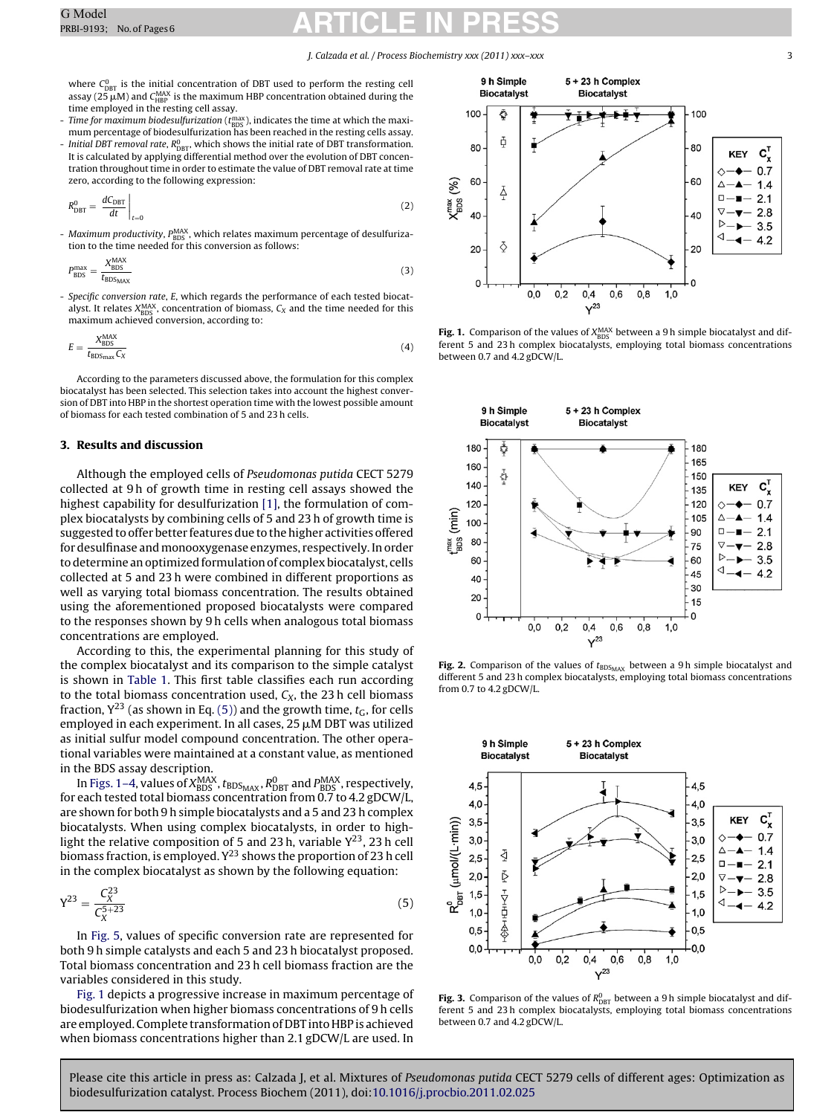#### J. Calzada et al. / Process Biochemistry xxx (2011) xxx–xxx 3

<span id="page-2-0"></span>where  $C_{\text{DBT}}^0$  is the initial concentration of DBT used to perform the resting cell assay (25  $\mu$ M) and C<sub>HBP</sub> is the maximum HBP concentration obtained during the time employed in the resting cell assay.

- Time for maximum biodesulfurization ( $t_{\rm BDS}^{\rm max}$ ), indicates the time at which the maximum percentage of biodesulfurization has been reached in the resting cells assay. - Initial DBT removal rate,  $R^0_{\text{DBT}}$ , which shows the initial rate of DBT transformation. It is calculated by applying differential method over the evolution of DBT concentration throughout time in order to estimate the value of DBT removal rate at time zero, according to the following expression:

$$
R_{\text{DBT}}^0 = \left. \frac{dC_{\text{DBT}}}{dt} \right|_{t=0} \tag{2}
$$

- Maximum productivity, P<sub>BDS</sub>, which relates maximum percentage of desulfurization to the time needed for this conversion as follows:

$$
P_{\rm BDS}^{\rm max} = \frac{X_{\rm BDS}^{\rm MAX}}{t_{\rm BDS_{MAX}}} \tag{3}
$$

Specific conversion rate, E, which regards the performance of each tested biocatalyst. It relates  $X^{MAX}_{BDS}$ , concentration of biomass,  $C_X$  and the time needed for this maximum achieved conversion, according to:

$$
E = \frac{X_{\rm BDS}^{\rm MAX}}{t_{\rm BDS_{\rm max}} C_X} \tag{4}
$$

According to the parameters discussed above, the formulation for this complex biocatalyst has been selected. This selection takes into account the highest conversion of DBT into HBP in the shortest operation time with the lowest possible amount of biomass for each tested combination of 5 and 23 h cells.

### **3. Results and discussion**

Although the employed cells of Pseudomonas putida CECT 5279 collected at 9 h of growth time in resting cell assays showed the highest capability for desulfurization [\[1\], t](#page-4-0)he formulation of complex biocatalysts by combining cells of 5 and 23 h of growth time is suggested to offer better features due to the higher activities offered for desulfinase and monooxygenase enzymes, respectively. In order to determine an optimized formulation of complex biocatalyst, cells collected at 5 and 23 h were combined in different proportions as well as varying total biomass concentration. The results obtained using the aforementioned proposed biocatalysts were compared to the responses shown by 9 h cells when analogous total biomass concentrations are employed.

According to this, the experimental planning for this study of the complex biocatalyst and its comparison to the simple catalyst is shown in [Table 1.](#page-3-0) This first table classifies each run according to the total biomass concentration used,  $C_X$ , the 23 h cell biomass fraction,  $Y^{23}$  (as shown in Eq. (5)) and the growth time,  $t_G$ , for cells employed in each experiment. In all cases,  $25 \mu$ M DBT was utilized as initial sulfur model compound concentration. The other operational variables were maintained at a constant value, as mentioned in the BDS assay description.

In Figs. 1–4, values of  $X_{\rm BDS}^{\rm MAX}$ ,  $t_{\rm BDS_{MAX}}$ ,  $R_{\rm DBT}^0$  and  $P_{\rm BDS}^{\rm MAX}$ , respectively, for each tested total biomass concentration from 0.7 to 4.2 gDCW/L, are shown for both 9 h simple biocatalysts and a 5 and 23 h complex biocatalysts. When using complex biocatalysts, in order to highlight the relative composition of 5 and 23 h, variable  $Y^{23}$ , 23 h cell biomass fraction, is employed.  $Y^{23}$  shows the proportion of 23 h cell in the complex biocatalyst as shown by the following equation:

$$
Y^{23} = \frac{C_X^{23}}{C_X^{5+23}}
$$
 (5)

In [Fig. 5, v](#page-3-0)alues of specific conversion rate are represented for both 9 h simple catalysts and each 5 and 23 h biocatalyst proposed. Total biomass concentration and 23 h cell biomass fraction are the variables considered in this study.

Fig. 1 depicts a progressive increase in maximum percentage of biodesulfurization when higher biomass concentrations of 9 h cells are employed. Complete transformation of DBT into HBP is achieved when biomass concentrations higher than 2.1 gDCW/L are used. In



**Fig. 1.** Comparison of the values of  $X_{\text{BDS}}^{\text{MAX}}$  between a 9 h simple biocatalyst and different 5 and 23 h complex biocatalysts, employing total biomass concentrations between 0.7 and 4.2 gDCW/L.



**Fig. 2.** Comparison of the values of t<sub>BDS<sub>MAX</sub> between a 9h simple biocatalyst and different 5 and 23 h complex biocatalysts, employing total biomass concentrations</sub> from 0.7 to 4.2 gDCW/L.



**Fig. 3.** Comparison of the values of  $R_{\text{DBT}}^0$  between a 9 h simple biocatalyst and different 5 and 23 h complex biocatalysts, employing total biomass concentrations between 0.7 and 4.2 gDCW/L.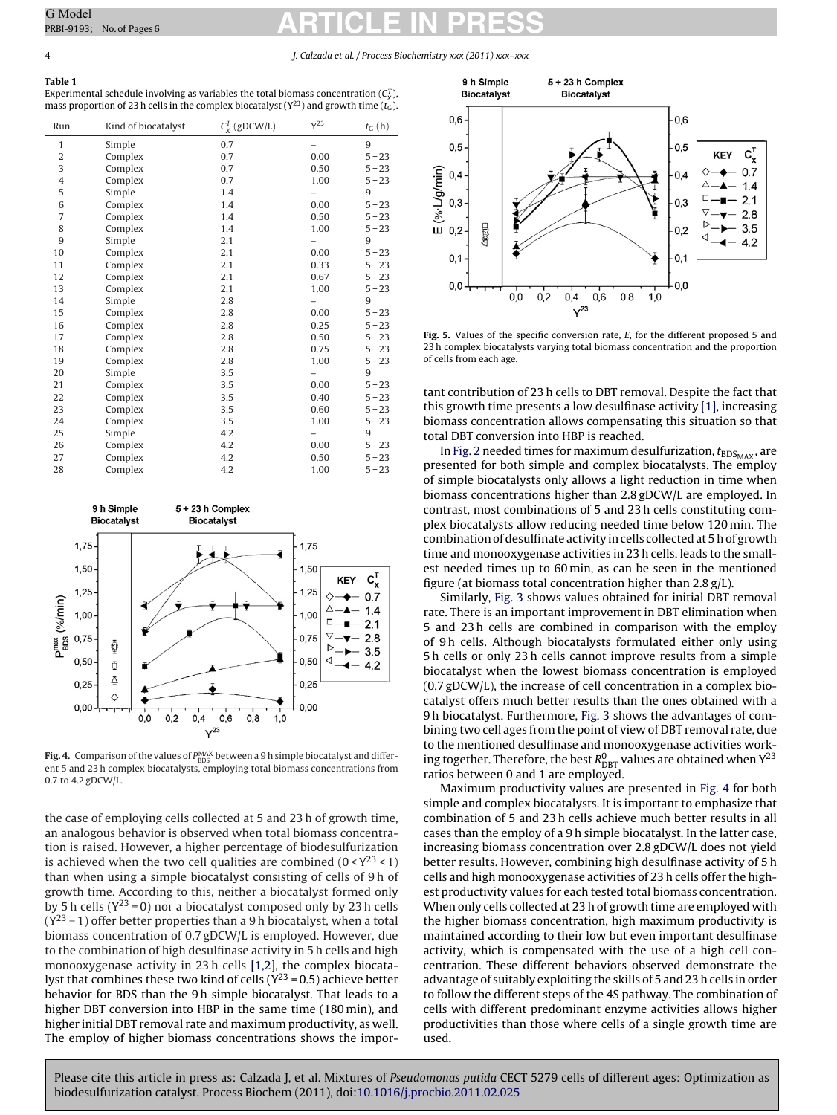#### 4 J. Calzada et al. / Process Biochemistry xxx (2011) xxx–xxx

# **Table 1**

Experimental schedule involving as variables the total biomass concentration ( $C_{\chi}^T$ ), mass proportion of 23 h cells in the complex biocatalyst ( $Y^{23}$ ) and growth time ( $t_G$ ).

| Run | Kind of biocatalyst | $C_X^T$ (gDCW/L) | Y <sup>23</sup> | $t_G(h)$ |
|-----|---------------------|------------------|-----------------|----------|
| 1   | Simple              | 0.7              |                 | 9        |
| 2   | Complex             | 0.7              | 0.00            | $5 + 23$ |
| 3   | Complex             | 0.7              | 0.50            | $5 + 23$ |
| 4   | Complex             | 0.7              | 1.00            | $5 + 23$ |
| 5   | Simple              | 1.4              |                 | 9        |
| 6   | Complex             | 1.4              | 0.00            | $5 + 23$ |
| 7   | Complex             | 1.4              | 0.50            | $5 + 23$ |
| 8   | Complex             | 1.4              | 1.00            | $5 + 23$ |
| 9   | Simple              | 2.1              |                 | 9        |
| 10  | Complex             | 2.1              | 0.00            | $5 + 23$ |
| 11  | Complex             | 2.1              | 0.33            | $5 + 23$ |
| 12  | Complex             | 2.1              | 0.67            | $5 + 23$ |
| 13  | Complex             | 2.1              | 1.00            | $5 + 23$ |
| 14  | Simple              | 2.8              |                 | 9        |
| 15  | Complex             | 2.8              | 0.00            | $5 + 23$ |
| 16  | Complex             | 2.8              | 0.25            | $5 + 23$ |
| 17  | Complex             | 2.8              | 0.50            | $5 + 23$ |
| 18  | Complex             | 2.8              | 0.75            | $5 + 23$ |
| 19  | Complex             | 2.8              | 1.00            | $5 + 23$ |
| 20  | Simple              | 3.5              |                 | 9        |
| 21  | Complex             | 3.5              | 0.00            | $5 + 23$ |
| 22  | Complex             | 3.5              | 0.40            | $5 + 23$ |
| 23  | Complex             | 3.5              | 0.60            | $5 + 23$ |
| 24  | Complex             | 3.5              | 1.00            | $5 + 23$ |
| 25  | Simple              | 4.2              |                 | 9        |
| 26  | Complex             | 4.2              | 0.00            | $5 + 23$ |
| 27  | Complex             | 4.2              | 0.50            | $5 + 23$ |
| 28  | Complex             | 4.2              | 1.00            | $5 + 23$ |



**Fig. 4.** Comparison of the values of  $P_{\rm BDS}^{\rm MAX}$  between a 9 h simple biocatalyst and different 5 and 23 h complex biocatalysts, employing total biomass concentrations from 0.7 to 4.2 gDCW/L.

the case of employing cells collected at 5 and 23 h of growth time, an analogous behavior is observed when total biomass concentration is raised. However, a higher percentage of biodesulfurization is achieved when the two cell qualities are combined  $(0 < Y^{23} < 1)$ than when using a simple biocatalyst consisting of cells of 9 h of growth time. According to this, neither a biocatalyst formed only by 5 h cells ( $Y^{23} = 0$ ) nor a biocatalyst composed only by 23 h cells  $(Y^{23} = 1)$  offer better properties than a 9 h biocatalyst, when a total biomass concentration of 0.7 gDCW/L is employed. However, due to the combination of high desulfinase activity in 5 h cells and high monooxygenase activity in 23 h cells [\[1,2\],](#page-4-0) the complex biocatalyst that combines these two kind of cells ( $Y^{23} = 0.5$ ) achieve better behavior for BDS than the 9 h simple biocatalyst. That leads to a higher DBT conversion into HBP in the same time (180 min), and higher initial DBT removal rate and maximum productivity, as well. The employ of higher biomass concentrations shows the impor-



Fig. 5. Values of the specific conversion rate, E, for the different proposed 5 and 23 h complex biocatalysts varying total biomass concentration and the proportion of cells from each age.

tant contribution of 23 h cells to DBT removal. Despite the fact that this growth time presents a low desulfinase activity [\[1\], i](#page-4-0)ncreasing biomass concentration allows compensating this situation so that total DBT conversion into HBP is reached.

In [Fig. 2](#page-2-0) needed times for maximum desulfurization,  $t_{\text{BDS}_{\text{MAX}}}$ , are presented for both simple and complex biocatalysts. The employ of simple biocatalysts only allows a light reduction in time when biomass concentrations higher than 2.8 gDCW/L are employed. In contrast, most combinations of 5 and 23 h cells constituting complex biocatalysts allow reducing needed time below 120 min. The combination of desulfinate activity in cells collected at 5 h of growth time and monooxygenase activities in 23 h cells, leads to the smallest needed times up to 60 min, as can be seen in the mentioned figure (at biomass total concentration higher than 2.8 g/L).

Similarly, [Fig. 3](#page-2-0) shows values obtained for initial DBT removal rate. There is an important improvement in DBT elimination when 5 and 23 h cells are combined in comparison with the employ of 9 h cells. Although biocatalysts formulated either only using 5 h cells or only 23 h cells cannot improve results from a simple biocatalyst when the lowest biomass concentration is employed (0.7 gDCW/L), the increase of cell concentration in a complex biocatalyst offers much better results than the ones obtained with a 9 h biocatalyst. Furthermore, [Fig. 3](#page-2-0) shows the advantages of combining two cell ages from the point of view of DBT removal rate, due to the mentioned desulfinase and monooxygenase activities working together. Therefore, the best  $R^0_{\mathrm{DBT}}$  values are obtained when  $\mathrm{Y}^{23}$ ratios between 0 and 1 are employed.

Maximum productivity values are presented in Fig. 4 for both simple and complex biocatalysts. It is important to emphasize that combination of 5 and 23 h cells achieve much better results in all cases than the employ of a 9 h simple biocatalyst. In the latter case, increasing biomass concentration over 2.8 gDCW/L does not yield better results. However, combining high desulfinase activity of 5 h cells and high monooxygenase activities of 23 h cells offer the highest productivity values for each tested total biomass concentration. When only cells collected at 23 h of growth time are employed with the higher biomass concentration, high maximum productivity is maintained according to their low but even important desulfinase activity, which is compensated with the use of a high cell concentration. These different behaviors observed demonstrate the advantage of suitably exploiting the skills of 5 and 23 h cells in order to follow the different steps of the 4S pathway. The combination of cells with different predominant enzyme activities allows higher productivities than those where cells of a single growth time are used.

<span id="page-3-0"></span>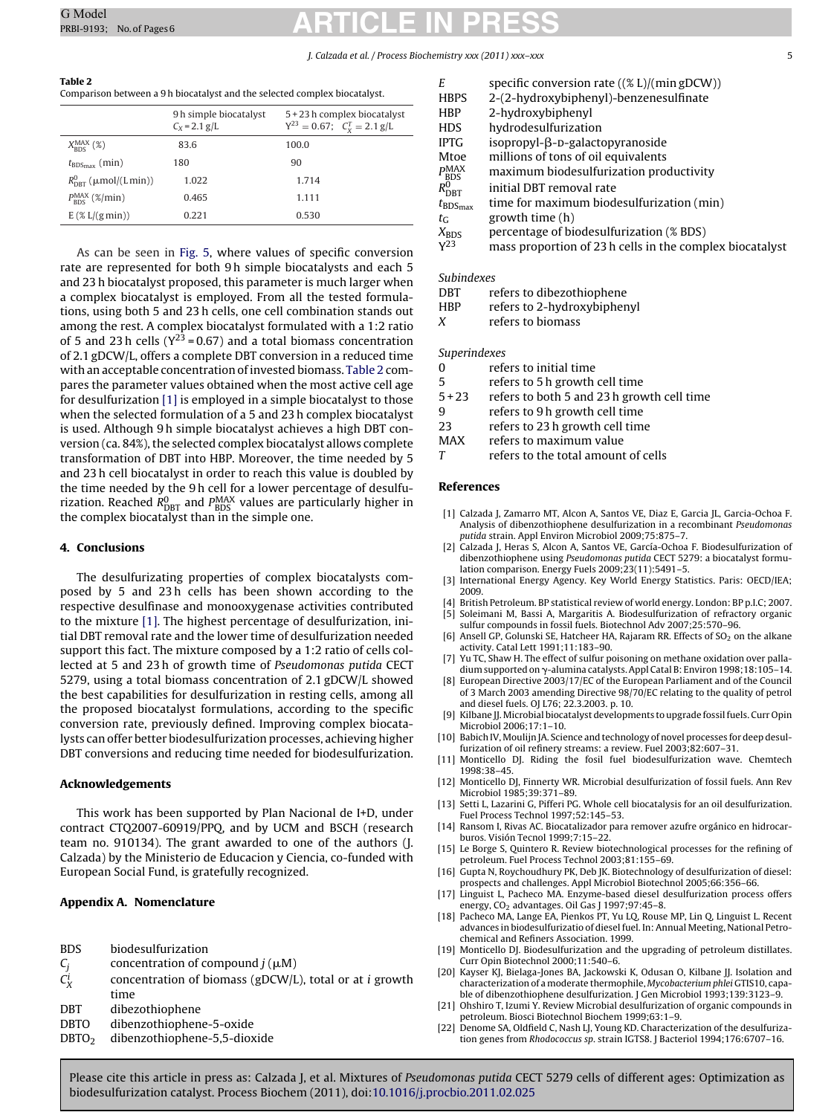### J. Calzada et al. / Process Biochemistry xxx (2011) xxx–xxx 5

#### <span id="page-4-0"></span>**Table 2** Comparison between a 9 h biocatalyst and the selected complex biocatalyst.

|                                        | 9h simple biocatalyst<br>$C_X = 2.1$ g/L | 5 + 23 h complex biocatalyst<br>$Y^{23} = 0.67$ ; $C_v^T = 2.1$ g/L |
|----------------------------------------|------------------------------------------|---------------------------------------------------------------------|
| $X_{RDS}^{MAX}$ (%)                    | 83.6                                     | 100.0                                                               |
| $t_{\text{BDS}_{\text{max}}}$ (min)    | 180                                      | 90                                                                  |
| $R_{\text{per}}^0$ ( $\mu$ mol/(Lmin)) | 1.022                                    | 1.714                                                               |
| $P_{\text{pnc}}^{\text{MAX}}$ (%/min)  | 0.465                                    | 1.111                                                               |
| $E$ (% $L/(g \min)$ )                  | 0.221                                    | 0.530                                                               |

As can be seen in [Fig. 5,](#page-3-0) where values of specific conversion rate are represented for both 9 h simple biocatalysts and each 5 and 23 h biocatalyst proposed, this parameter is much larger when a complex biocatalyst is employed. From all the tested formulations, using both 5 and 23 h cells, one cell combination stands out among the rest. A complex biocatalyst formulated with a 1:2 ratio of 5 and 23 h cells ( $Y^{23} = 0.67$ ) and a total biomass concentration of 2.1 gDCW/L, offers a complete DBT conversion in a reduced time with an acceptable concentration of invested biomass. Table 2 compares the parameter values obtained when the most active cell age for desulfurization [1] is employed in a simple biocatalyst to those when the selected formulation of a 5 and 23 h complex biocatalyst is used. Although 9 h simple biocatalyst achieves a high DBT conversion (ca. 84%), the selected complex biocatalyst allows complete transformation of DBT into HBP. Moreover, the time needed by 5 and 23 h cell biocatalyst in order to reach this value is doubled by the time needed by the 9 h cell for a lower percentage of desulfurization. Reached R<sup>0</sup><sub>DBT</sub> and P<sup>MAX</sup> values are particularly higher in<br>the complex biocatalyst than in the simple one.

## **4. Conclusions**

The desulfurizating properties of complex biocatalysts composed by 5 and 23 h cells has been shown according to the respective desulfinase and monooxygenase activities contributed to the mixture [1]. The highest percentage of desulfurization, initial DBT removal rate and the lower time of desulfurization needed support this fact. The mixture composed by a 1:2 ratio of cells collected at 5 and 23 h of growth time of Pseudomonas putida CECT 5279, using a total biomass concentration of 2.1 gDCW/L showed the best capabilities for desulfurization in resting cells, among all the proposed biocatalyst formulations, according to the specific conversion rate, previously defined. Improving complex biocatalysts can offer better biodesulfurization processes, achieving higher DBT conversions and reducing time needed for biodesulfurization.

## **Acknowledgements**

This work has been supported by Plan Nacional de I+D, under contract CTQ2007-60919/PPQ, and by UCM and BSCH (research team no. 910134). The grant awarded to one of the authors (J. Calzada) by the Ministerio de Educacion y Ciencia, co-funded with European Social Fund, is gratefully recognized.

# **Appendix A. Nomenclature**

| <b>BDS</b> | biodesulfurization |
|------------|--------------------|
|------------|--------------------|

- $C_j$  concentration of compound  $j(\mu M)$
- $C_X^i$ concentration of biomass (gDCW/L), total or at  $i$  growth time
- DBT dibezothiophene
- DBTO dibenzothiophene-5-oxide
- DBTO2 dibenzothiophene-5,5-dioxide

| Е                             | specific conversion rate $((% L)/(min gDCW))$           |  |
|-------------------------------|---------------------------------------------------------|--|
| <b>HBPS</b>                   | 2-(2-hydroxybiphenyl)-benzenesulfinate                  |  |
| <b>HBP</b>                    | 2-hydroxybiphenyl                                       |  |
| HDS                           | hydrodesulfurization                                    |  |
| <b>IPTG</b>                   | $isopropyl-\beta-p-galactopy ranoside$                  |  |
| Mtoe                          | millions of tons of oil equivalents                     |  |
| $P_{\rm BDS}^{\rm MAX}$       | maximum biodesulfurization productivity                 |  |
| $R_{\mathrm{DBT}}^0$          | initial DBT removal rate                                |  |
| $t_{\text{BDS}_{\text{max}}}$ | time for maximum biodesulfurization (min)               |  |
| $t_G$                         | growth time (h)                                         |  |
| $X_{BDS}$                     | percentage of biodesulfurization (% BDS)                |  |
| V <sub>23</sub>               | mass proportion of 23 h calls in the complex biocatalys |  |

mass proportion of 23 h cells in the complex biocatalyst

## Subindexes

- DBT refers to dibezothiophene
- HBP refers to 2-hydroxybiphenyl
- X refers to biomass

### Superindexes

- 0 refers to initial time
- 5 refers to 5 h growth cell time
- 5 + 23 refers to both 5 and 23 h growth cell time
- 9 refers to 9 h growth cell time
- 23 refers to 23 h growth cell time
- MAX refers to maximum value
- T refers to the total amount of cells

#### **References**

- [1] Calzada J, Zamarro MT, Alcon A, Santos VE, Diaz E, Garcia JL, Garcia-Ochoa F. Analysis of dibenzothiophene desulfurization in a recombinant Pseudomonas putida strain. Appl Environ Microbiol 2009;75:875–7.
- [2] Calzada J, Heras S, Alcon A, Santos VE, García-Ochoa F. Biodesulfurization of dibenzothiophene using Pseudomonas putida CECT 5279: a biocatalyst formulation comparison. Energy Fuels 2009;23(11):5491–5.
- [3] International Energy Agency. Key World Energy Statistics. Paris: OECD/IEA; 2009.
- [4] British Petroleum. BP statistical review of world energy. London: BP p.I.C; 2007. [5] Soleimani M, Bassi A, Margaritis A. Biodesulfurization of refractory organic
- sulfur compounds in fossil fuels. Biotechnol Adv 2007;25:570–96. [6] Ansell GP, Golunski SE, Hatcheer HA, Rajaram RR. Effects of SO<sub>2</sub> on the alkane activity. Catal Lett 1991;11:183–90.
- [7] Yu TC, Shaw H. The effect of sulfur poisoning on methane oxidation over palla-
- dium supported on  $\gamma$ -alumina catalysts. Appl Catal B: Environ 1998;18:105-14. [8] European Directive 2003/17/EC of the European Parliament and of the Council of 3 March 2003 amending Directive 98/70/EC relating to the quality of petrol and diesel fuels. OJ L76; 22.3.2003. p. 10.
- [9] Kilbane JJ. Microbial biocatalyst developments to upgrade fossil fuels. Curr Opin Microbiol 2006;17:1–10.
- [10] Babich IV, Moulijn JA, Science and technology of novel processes for deep desulfurization of oil refinery streams: a review. Fuel 2003;82:607–31.
- [11] Monticello DJ. Riding the fosil fuel biodesulfurization wave. Chemtech 1998:38–45.
- [12] Monticello DJ, Finnerty WR. Microbial desulfurization of fossil fuels. Ann Rev Microbiol 1985;39:371–89.
- [13] Setti L, Lazarini G, Pifferi PG. Whole cell biocatalysis for an oil desulfurization. Fuel Process Technol 1997;52:145–53.
- [14] Ransom I, Rivas AC. Biocatalizador para remover azufre orgánico en hidrocarburos. Visión Tecnol 1999;7:15–22.
- [15] Le Borge S, Quintero R. Review biotechnological processes for the refining of petroleum. Fuel Process Technol 2003;81:155–69.
- [16] Gupta N, Roychoudhury PK, Deb JK. Biotechnology of desulfurization of diesel: prospects and challenges. Appl Microbiol Biotechnol 2005;66:356–66.
- [17] Linguist L, Pacheco MA. Enzyme-based diesel desulfurization process offers energy, CO<sub>2</sub> advantages. Oil Gas J 1997;97:45-8.
- [18] Pacheco MA, Lange EA, Pienkos PT, Yu LQ, Rouse MP, Lin Q, Linguist L. Recent advances in biodesulfurizatio of diesel fuel. In: Annual Meeting, National Petrochemical and Refiners Association. 1999.
- [19] Monticello DJ. Biodesulfurization and the upgrading of petroleum distillates. Curr Opin Biotechnol 2000;11:540–6.
- [20] Kayser KJ, Bielaga-Jones BA, Jackowski K, Odusan O, Kilbane JJ. Isolation and characterization of a moderate thermophile, Mycobacterium phlei GTIS10, capable of dibenzothiophene desulfurization. J Gen Microbiol 1993;139:3123–9.
- [21] Ohshiro T, Izumi Y. Review Microbial desulfurization of organic compounds in petroleum. Biosci Biotechnol Biochem 1999;63:1–9.
- [22] Denome SA, Oldfield C, Nash LJ, Young KD. Characterization of the desulfurization genes from Rhodococcus sp. strain IGTS8. J Bacteriol 1994;176:6707–16.